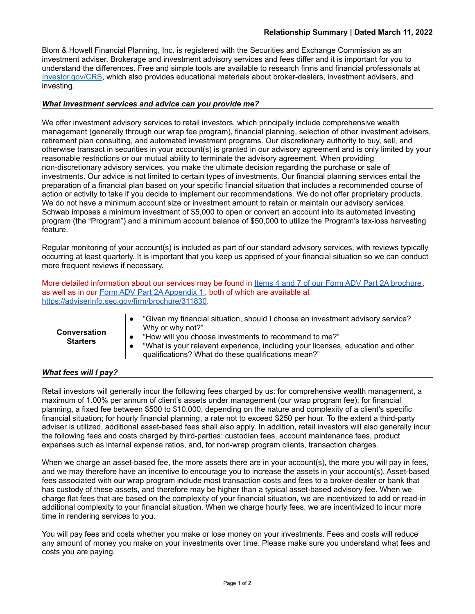Blom & Howell Financial Planning, Inc. is registered with the Securities and Exchange Commission as an investment adviser. Brokerage and investment advisory services and fees differ and it is important for you to understand the differences. Free and simple tools are available to research firms and financial professionals at [Investor.gov/CRS,](https://www.investor.gov/CRS) which also provides educational materials about broker-dealers, investment advisers, and investing.

# *What investment services and advice can you provide me?*

We offer investment advisory services to retail investors, which principally include comprehensive wealth management (generally through our wrap fee program), financial planning, selection of other investment advisers, retirement plan consulting, and automated investment programs. Our discretionary authority to buy, sell, and otherwise transact in securities in your account(s) is granted in our advisory agreement and is only limited by your reasonable restrictions or our mutual ability to terminate the advisory agreement. When providing non-discretionary advisory services, you make the ultimate decision regarding the purchase or sale of investments. Our advice is not limited to certain types of investments. Our financial planning services entail the preparation of a financial plan based on your specific financial situation that includes a recommended course of action or activity to take if you decide to implement our recommendations. We do not offer proprietary products. We do not have a minimum account size or investment amount to retain or maintain our advisory services. Schwab imposes a minimum investment of \$5,000 to open or convert an account into its automated investing program (the "Program") and a minimum account balance of \$50,000 to utilize the Program's tax-loss harvesting feature.

Regular monitoring of your account(s) is included as part of our standard advisory services, with reviews typically occurring at least quarterly. It is important that you keep us apprised of your financial situation so we can conduct more frequent reviews if necessary.

More detailed information about our services may be found in Items 4 and 7 of our Form ADV Part 2A [brochure,](https://adviserinfo.sec.gov/firm/brochure/311830) as well as in our Form ADV Part 2A [Appendix](https://adviserinfo.sec.gov/firm/brochure/311830) 1 , both of which are available at [https://adviserinfo.sec.gov/firm/brochure/311830.](https://adviserinfo.sec.gov/firm/brochure/311830)

| <b>Conversation</b><br><b>Starters</b> | "Given my financial situation, should I choose an investment advisory service?<br>Why or why not?"<br>"How will you choose investments to recommend to me?" |
|----------------------------------------|-------------------------------------------------------------------------------------------------------------------------------------------------------------|
|                                        | "What is your relevant experience, including your licenses, education and other                                                                             |
|                                        | qualifications? What do these qualifications mean?"                                                                                                         |

## *What fees will I pay?*

Retail investors will generally incur the following fees charged by us: for comprehensive wealth management, a maximum of 1.00% per annum of client's assets under management (our wrap program fee); for financial planning, a fixed fee between \$500 to \$10,000, depending on the nature and complexity of a client's specific financial situation; for hourly financial planning, a rate not to exceed \$250 per hour. To the extent a third-party adviser is utilized, additional asset-based fees shall also apply. In addition, retail investors will also generally incur the following fees and costs charged by third-parties: custodian fees, account maintenance fees, product expenses such as internal expense ratios, and, for non-wrap program clients, transaction charges.

When we charge an asset-based fee, the more assets there are in your account(s), the more you will pay in fees, and we may therefore have an incentive to encourage you to increase the assets in your account(s). Asset-based fees associated with our wrap program include most transaction costs and fees to a broker-dealer or bank that has custody of these assets, and therefore may be higher than a typical asset-based advisory fee. When we charge flat fees that are based on the complexity of your financial situation, we are incentivized to add or read-in additional complexity to your financial situation. When we charge hourly fees, we are incentivized to incur more time in rendering services to you.

You will pay fees and costs whether you make or lose money on your investments. Fees and costs will reduce any amount of money you make on your investments over time. Please make sure you understand what fees and costs you are paying.